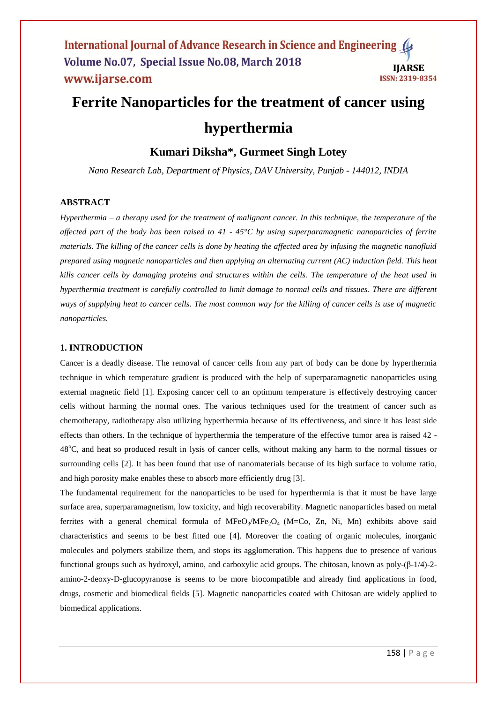# **Ferrite Nanoparticles for the treatment of cancer using hyperthermia**

# **Kumari Diksha\*, Gurmeet Singh Lotey**

*Nano Research Lab, Department of Physics, DAV University, Punjab - 144012, INDIA*

# **ABSTRACT**

*Hyperthermia – a therapy used for the treatment of malignant cancer. In this technique, the temperature of the affected part of the body has been raised to 41 - 45°C by using superparamagnetic nanoparticles of ferrite materials. The killing of the cancer cells is done by heating the affected area by infusing the magnetic nanofluid prepared using magnetic nanoparticles and then applying an alternating current (AC) induction field. This heat kills cancer cells by damaging proteins and structures within the cells. The temperature of the heat used in hyperthermia treatment is carefully controlled to limit damage to normal cells and tissues. There are different ways of supplying heat to cancer cells. The most common way for the killing of cancer cells is use of magnetic nanoparticles.*

### **1. INTRODUCTION**

Cancer is a deadly disease. The removal of cancer cells from any part of body can be done by hyperthermia technique in which temperature gradient is produced with the help of superparamagnetic nanoparticles using external magnetic field [1]. Exposing cancer cell to an optimum temperature is effectively destroying cancer cells without harming the normal ones. The various techniques used for the treatment of cancer such as chemotherapy, radiotherapy also utilizing hyperthermia because of its effectiveness, and since it has least side effects than others. In the technique of hyperthermia the temperature of the effective tumor area is raised 42 - 48<sup>o</sup>C, and heat so produced result in lysis of cancer cells, without making any harm to the normal tissues or surrounding cells [2]. It has been found that use of nanomaterials because of its high surface to volume ratio, and high porosity make enables these to absorb more efficiently drug [3].

The fundamental requirement for the nanoparticles to be used for hyperthermia is that it must be have large surface area, superparamagnetism, low toxicity, and high recoverability. Magnetic nanoparticles based on metal ferrites with a general chemical formula of  $MFeO<sub>3</sub>/MFe<sub>2</sub>O<sub>4</sub>$  (M=Co, Zn, Ni, Mn) exhibits above said characteristics and seems to be best fitted one [4]. Moreover the coating of organic molecules, inorganic molecules and polymers stabilize them, and stops its agglomeration. This happens due to presence of various functional groups such as hydroxyl, amino, and carboxylic acid groups. The chitosan, known as poly-(β-1/4)-2 amino-2-deoxy-D-glucopyranose is seems to be more biocompatible and already find applications in food, drugs, cosmetic and biomedical fields [5]. Magnetic nanoparticles coated with Chitosan are widely applied to biomedical applications.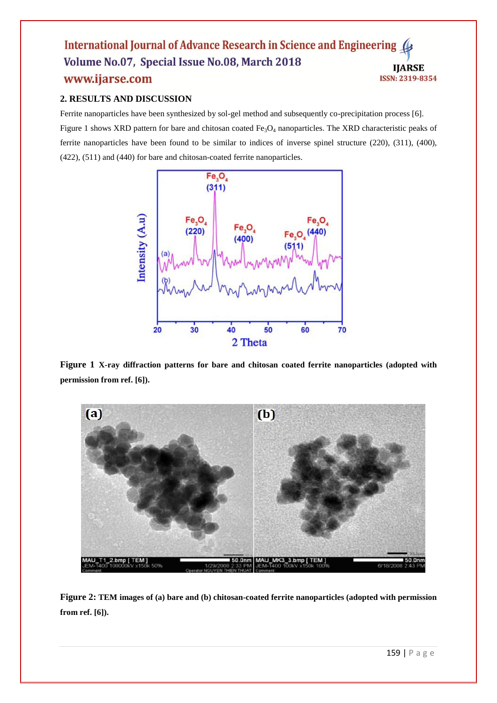#### International Journal of Advance Research in Science and Engineering Volume No.07, Special Issue No.08, March 2018 **IJARSE** www.ijarse.com ISSN: 2319-8354

# **2. RESULTS AND DISCUSSION**

Ferrite nanoparticles have been synthesized by sol-gel method and subsequently co-precipitation process [6]. Figure 1 shows XRD pattern for bare and chitosan coated  $Fe<sub>3</sub>O<sub>4</sub>$  nanoparticles. The XRD characteristic peaks of ferrite nanoparticles have been found to be similar to indices of inverse spinel structure (220), (311), (400), (422), (511) and (440) for bare and chitosan-coated ferrite nanoparticles.



**Figure 1 X-ray diffraction patterns for bare and chitosan coated ferrite nanoparticles (adopted with permission from ref. [6]).** 



**Figure 2: TEM images of (a) bare and (b) chitosan-coated ferrite nanoparticles (adopted with permission from ref. [6]).**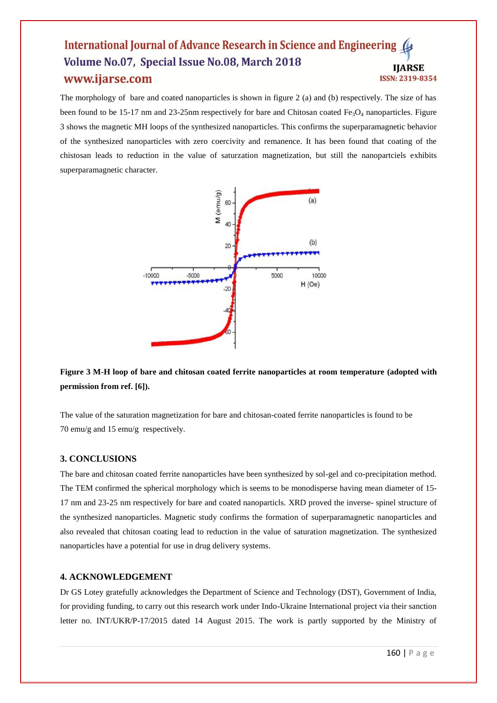#### **International Journal of Advance Research in Science and Engineering** Volume No.07, Special Issue No.08, March 2018 **IJARSE** www.ijarse.com **ISSN: 2319-8354**

The morphology of bare and coated nanoparticles is shown in figure 2 (a) and (b) respectively. The size of has been found to be 15-17 nm and 23-25nm respectively for bare and Chitosan coated  $Fe<sub>3</sub>O<sub>4</sub>$  nanoparticles. Figure 3 shows the magnetic MH loops of the synthesized nanoparticles. This confirms the superparamagnetic behavior of the synthesized nanoparticles with zero coercivity and remanence. It has been found that coating of the chistosan leads to reduction in the value of saturzation magnetization, but still the nanopartciels exhibits superparamagnetic character.



**Figure 3 M-H loop of bare and chitosan coated ferrite nanoparticles at room temperature (adopted with permission from ref. [6]).**

The value of the saturation magnetization for bare and chitosan-coated ferrite nanoparticles is found to be 70 emu/g and 15 emu/g respectively.

#### **3. CONCLUSIONS**

The bare and chitosan coated ferrite nanoparticles have been synthesized by sol-gel and co-precipitation method. The TEM confirmed the spherical morphology which is seems to be monodisperse having mean diameter of 15- 17 nm and 23-25 nm respectively for bare and coated nanoparticls. XRD proved the inverse- spinel structure of the synthesized nanoparticles. Magnetic study confirms the formation of superparamagnetic nanoparticles and also revealed that chitosan coating lead to reduction in the value of saturation magnetization. The synthesized nanoparticles have a potential for use in drug delivery systems.

#### **4. ACKNOWLEDGEMENT**

Dr GS Lotey gratefully acknowledges the Department of Science and Technology (DST), Government of India, for providing funding, to carry out this research work under Indo-Ukraine International project via their sanction letter no. INT/UKR/P-17/2015 dated 14 August 2015. The work is partly supported by the Ministry of